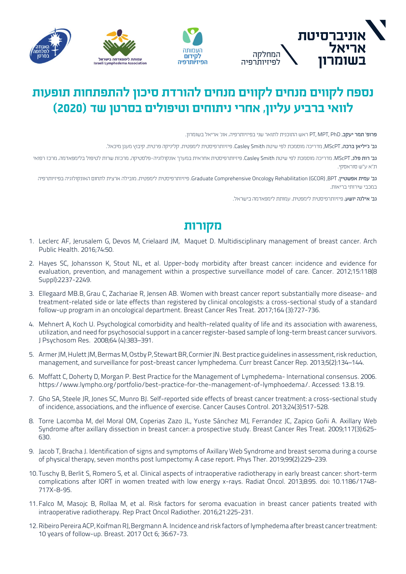





## **נספח לקווים מנחים לקווים מנחים להורדת סיכון להתפתחות תופעות לוואי ברביע עליון, אחרי ניתוחים וטיפולים בסרטן שד )2020(**

פרופ' תמר יעקב, PhD ,MPT ,PT ראש התוכנית לתואר שני בפיזיותרפיה, אונ' אריאל בשומרון.

גב' ג'יליאן ברכה, MScPT, מדריכה מוסמכת לפי שיטת Smith Casley, פיזיותרפיסטית לימפטית, קליניקה פרטית, קיבוץ מעגן מיכאל.

גב' רות פלג, MScPT, מדריכה מוסמכת לפי שיטת Casley Smith, פיזיותרפיסטית אחראית במערך אונקולוגיה-פלסטיקה, מרכזת שרות לטיפול בלימפאדמה, מרכז רפואי ת"א ע"ש סוראסקי.

גב' עמית אפשטיין, BPT, Graduate Comprehensive Oncology Rehabilitation (GCOR), פיזיותרפיסטית לימפטית, מובילה ארצית לתחום האונקולוגיה בפיזיותרפיה במכבי שירותי בריאות.

גב' אילנה יושע, פיזיותרפיסטית לימפטית, עמותת לימפאדמה בישראל.

## **מקורות**

- 1. Leclerc AF, Jerusalem G, Devos M, Crielaard JM, Maquet D. Multidisciplinary management of breast cancer. Arch Public Health. 2016;74:50.
- 2. Hayes SC, Johansson K, Stout NL, et al. Upper-body morbidity after breast cancer: incidence and evidence for evaluation, prevention, and management within a prospective surveillance model of care. Cancer. 2012;15:118(8 Suppl):2237-2249.
- 3. Ellegaard MB.B, Grau C, Zachariae R, Jensen AB. Women with breast cancer report substantially more disease- and treatment-related side or late effects than registered by clinical oncologists: a cross-sectional study of a standard follow-up program in an oncological department. Breast Cancer Res Treat. 2017:164 (3):727-736.
- 4. Mehnert A, Koch U. Psychological comorbidity and health-related quality of life and its association with awareness, utilization, and need for psychosocial support in a cancer register-based sample of long-term breast cancer survivors. J Psychosom Res. 2008;64 (4):383-391.
- 5. Armer JM, Hulett JM, Bermas M, Ostby P, Stewart BR, Cormier JN. Best practice guidelines in assessment, risk reduction, management, and surveillance for post-breast cancer lymphedema. Curr breast Cancer Rep. 2013;5(2):134-144.
- 6. Moffatt C, Doherty D, Morgan P. Best Practice for the Management of Lymphedema-International consensus. 2006. https://www.lympho.org/portfolio/best-practice-for-the-management-of-lymphoedema/. Accessed: 13.8.19.
- 7. Gho SA, Steele JR, Jones SC, Munro BJ. Self-reported side effects of breast cancer treatment: a cross-sectional study of incidence, associations, and the influence of exercise. Cancer Causes Control. 2013;24(3):517-528.
- 8. Torre Lacomba M, del Moral OM, Coperias Zazo JL, Yuste Sánchez MJ, Ferrandez JC, Zapico Goñi A. Axillary Web Syndrome after axillary dissection in breast cancer: a prospective study. Breast Cancer Res Treat. 2009;117(3):625-630.
- 9. Jacob T, Bracha J. Identification of signs and symptoms of Axillary Web Syndrome and breast seroma during a course of physical therapy, seven months post lumpectomy: A case report. Phys Ther, 2019:99(2):229–239.
- 10. Tuschy B, Berlit S, Romero S, et al. Clinical aspects of intraoperative radiotherapy in early breast cancer: short-term complications after IORT in women treated with low energy x-rays. Radiat Oncol. 2013;8:95. doi: 10.1186/1748-717X-8-95.
- 11. Falco M, Masojc B, Rollaa M, et al. Risk factors for seroma evacuation in breast cancer patients treated with intraoperative radiotherapy. Rep Pract Oncol Radiother. 2016;21:225-231.
- 12. Ribeiro Pereira ACP, Koifman RJ, Bergmann A. Incidence and risk factors of lymphedema after breast cancer treatment: 10 years of follow-up. Breast. 2017 Oct 6; 36:67-73.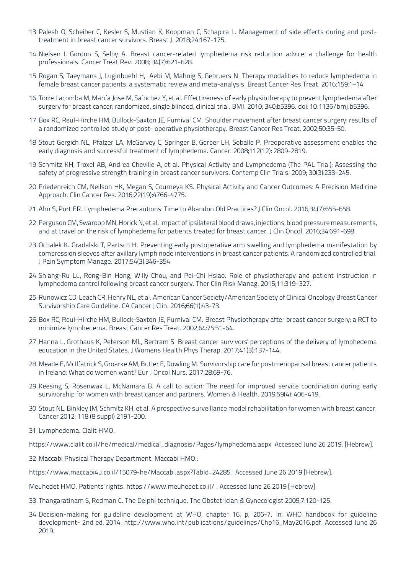- 13. Palesh O, Scheiber C, Kesler S, Mustian K, Koopman C, Schapira L. Management of side effects during and post<br>treatment in breast cancer survivors. Breast J. 2018;24:167-175.
- 14. Nielsen I, Gordon S, Selby A. Breast cancer-related lymphedema risk reduction advice: a challenge for health professionals. Cancer Treat Rev. 2008; 34(7):621-628.
- 15. Rogan S, Taeymans J, Luginbuehl H, Aebi M, Mahnig S, Gebruers N. Therapy modalities to reduce lymphedema in female breast cancer patients: a systematic review and meta-analysis. Breast Cancer Res Treat. 2016:159:1–14.
- 16. Torre Lacomba M, Mari´a Jose M, Sa´nchez Y, et al. Effectiveness of early physiotherapy to prevent lymphedema after surgery for breast cancer: randomized, single blinded, clinical trial. BMJ. 2010; 340:b5396. doi: 10.1136/bmj.b5396.
- 17. Box RC, Reul-Hirche HM, Bullock-Saxton JE, Furnival CM. Shoulder movement after breast cancer surgery: results of a randomized controlled study of post- operative physiotherapy. Breast Cancer Res Treat. 2002;50:35-50.
- 18. Stout Gergich NL, Pfalzer LA, McGarvey C, Springer B, Gerber LH, Soballe P. Preoperative assessment enables the early diagnosis and successful treatment of lymphedema. Cancer. 2008;112(12): 2809-2819.
- 19. Schmitz KH, Troxel AB, Andrea Cheville A, et al. Physical Activity and Lymphedema (The PAL Trial): Assessing the safety of progressive strength training in breast cancer survivors. Contemp Clin Trials. 2009; 30(3):233-245.
- 20. Friedenreich CM, Neilson HK, Megan S, Courneya KS. Physical Activity and Cancer Outcomes: A Precision Medicine Approach. Clin Cancer Res. 2016;22(19):4766-4775.
- 21. Ahn S, Port ER. Lymphedema Precautions: Time to Abandon Old Practices? J Clin Oncol. 2016;34(7):655-658.
- 22. Ferguson CM, Swaroop MN, Horick N, et al. Impact of ipsilateral blood draws, injections, blood pressure measurements, and at travel on the risk of lymphedema for patients treated for breast cancer. J Clin Oncol. 2016;34:691-698.
- 23. Ochalek K. Gradalski T, Partsch H. Preventing early postoperative arm swelling and lymphedema manifestation by compression sleeves after axillary lymph node interventions in breast cancer patients: A randomized controlled trial. J Pain Symptom Manage. 2017;54(3):346-354.
- 24. Shiang-Ru Lu, Rong-Bin Hong, Willy Chou, and Pei-Chi Hsiao. Role of physiotherapy and patient instruction in lymphedema control following breast cancer surgery. Ther Clin Risk Manag. 2015;11:319-327.
- 25. Runowicz CD, Leach CR, Henry NL, et al. American Cancer Society / American Society of Clinical Oncology Breast Cancer Survivorship Care Guideline. CA Cancer J Clin. 2016;66(1):43-73.
- 26. Box RC, Reul-Hirche HM, Bullock-Saxton JE, Furnival CM. Breast Physiotherapy after breast cancer surgery: a RCT to minimize lymphedema. Breast Cancer Res Treat. 2002;64:75:51-64.
- 27. Hanna L, Grothaus K, Peterson ML, Bertram S. Breast cancer survivors' perceptions of the delivery of lymphedema education in the United States. J Womens Health Phys Therap. 2017;41(3):137-144.
- 28. Meade E, McIlfatrick S, Groarke AM, Butler E, Dowling M. Survivorship care for postmenopausal breast cancer patients in Ireland: What do women want? Eur J Oncol Nurs. 2017;28:69-76.
- 29. Keesing S. Rosenwax L. McNamara B. A call to action: The need for improved service coordination during early survivorship for women with breast cancer and partners. Women & Health, 2019:59(4): 406-419.
- 30. Stout NL, Binkley JM, Schmitz KH, et al. A prospective surveillance model rehabilitation for women with breast cancer. Cancer 2012; 118 (8 suppl) 2191-200.
- 31. Lymphedema. Clalit HMO.
- https://www.clalit.co.il/he/medical/medical diagnosis/Pages/lymphedema.aspx Accessed June 26 2019. [Hebrew].
- 32. Maccabi Physical Therapy Department. Maccabi HMO.:
- https://www.maccabi4u.co.il/15079-he/Maccabi.aspx?Tabld=24285. Accessed June 26 2019 [Hebrew].
- Meuhedet HMO. Patients' rights. https://www.meuhedet.co.il/. Accessed June 26 2019 [Hebrew].
- 33. Thangaratinam S, Redman C. The Delphi technique. The Obstetrician & Gynecologist 2005;7:120-125.
- 34. Decision-making for guideline development at WHO, chapter 16, p; 206-7. In: WHO handbook for guideline development- 2nd ed, 2014. http://www.who.int/publications/guidelines/Chp16\_May2016.pdf. Accessed June 26 2019.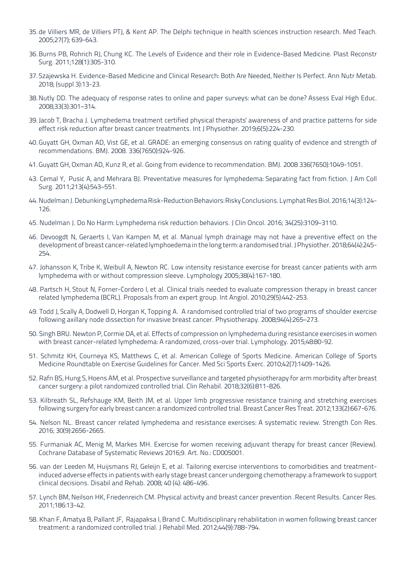- 35. de Villiers MR, de Villiers PTJ, & Kent AP. The Delphi technique in health sciences instruction research. Med Teach. 2005;27(7); 639-643.
- 36. Burns PB, Rohrich RJ, Chung KC. The Levels of Evidence and their role in Evidence-Based Medicine. Plast Reconstr Surg. 2011;128(1):305-310.
- 37. Szajewska H. Evidence-Based Medicine and Clinical Research: Both Are Needed, Neither Is Perfect. Ann Nutr Metab. 2018: (suppl 3):13-23.
- .B. Nutly DD. The adequacy of response rates to online and paper surveys: what can be done? Assess Eval High Educ. 2008;33(3):301-314.
- 39. Jacob T, Bracha J. Lymphedema treatment certified physical therapists' awareness of and practice patterns for side effect risk reduction after breast cancer treatments. Int J Physiother. 2019;6(5):224-230.
- 40. Guyatt GH, Oxman AD, Vist GE, et al. GRADE: an emerging consensus on rating quality of evidence and strength of recommendations, BMJ, 2008, 336(7650):924-926.
- 41. Guyatt GH, Oxman AD, Kunz R, et al. Going from evidence to recommendation. BMJ. 2008 336(7650):1049-1051.
- 43. Cemal Y, Pusic A, and Mehrara BJ. Preventative measures for lymphedema: Separating fact from fiction. J Am Coll Surg. 2011;213(4):543-551.
- 44. Nudelman J. Debunking Lymphedema Risk-Reduction Behaviors: Risky Conclusions. Lymphat Res Biol. 2016;14(3):124-126.
- 45. Nudelman J. Do No Harm: Lymphedema risk reduction behaviors. J Clin Oncol. 2016; 34(25):3109-3110.
- 46. Devoogdt N, Geraerts I, Van Kampen M, et al. Manual lymph drainage may not have a preventive effect on the development of breast cancer-related lymphoedema in the long term: a randomised trial. J Physiother. 2018;64(4):245-254.
- 47. Johansson K, Tribe K, Weibull A, Newton RC. Low intensity resistance exercise for breast cancer patients with arm lymphedema with or without compression sleeve. Lymphology 2005;38(4):167-180.
- 48. Partsch H, Stout N, Forner-Cordero I, et al. Clinical trials needed to evaluate compression therapy in breast cancer related lymphedema (BCRL). Proposals from an expert group. Int Angiol. 2010;29(5):442-253.
- 49. Todd J. Scally A. Dodwell D. Horgan K. Topping A. A randomised controlled trial of two programs of shoulder exercise following axillary node dissection for invasive breast cancer. Physiotherapy, 2008;94(4):265-273.
- 50. Singh BRU. Newton P, Cormie DA, et al. Effects of compression on lymphedema during resistance exercises in women with breast cancer-related lymphedema: A randomized, cross-over trial. Lymphology. 2015;48:80-92.
- 51. Schmitz KH, Courneya KS, Matthews C, et al. American College of Sports Medicine. American College of Sports Medicine Roundtable on Exercise Guidelines for Cancer. Med Sci Sports Exerc. 2010;42(7):1409-1426.
- 52. Rafn BS, Hung S, Hoens AM, et al. Prospective surveillance and targeted physiotherapy for arm morbidity after breast cancer surgery: a pilot randomized controlled trial. Clin Rehabil. 2018:32(6):811-826.
- 53. Kilbreath SL, Refshauge KM, Beith JM, et al. Upper limb progressive resistance training and stretching exercises following surgery for early breast cancer: a randomized controlled trial. Breast Cancer Res Treat. 2012;133(2):667-676.
- 54. Nelson NL. Breast cancer related lymphedema and resistance exercises: A systematic review. Strength Con Res. 2016: 30(9):2656-2665.
- 55. Furmaniak AC, Menig M, Markes MH. Exercise for women receiving adjuvant therapy for breast cancer (Review). Cochrane Database of Systematic Reviews 2016:9. Art. No.: CD005001.
- induced adverse effects in patients with early stage breast cancer undergoing chemotherapy: a framework to support 56. van der Leeden M, Huijsmans RJ, Geleijn E, et al. Tailoring exercise interventions to comorbidities and treatmentclinical decisions. Disabil and Rehab. 2008; 40 (4): 486-496.
- 57. Lynch BM, Neilson HK, Friedenreich CM. Physical activity and breast cancer prevention .Recent Results. Cancer Res. 2011:186:13-42.
- 58. Khan F, Amatya B, Pallant JF, Rajapaksa I, Brand C. Multidisciplinary rehabilitation in women following breast cancer treatment: a randomized controlled trial. J Rehabil Med. 2012:44(9):788-794.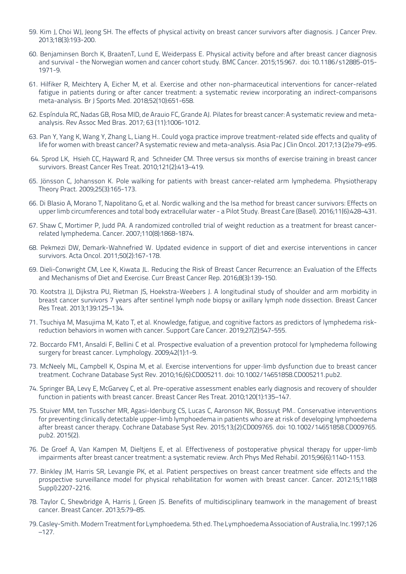- 59. Kim J, Choi WJ, Jeong SH. The effects of physical activity on breast cancer survivors after diagnosis. J Cancer Prev. 2013;18(3):193-200.
- 60. Benjaminsen Borch K, BraatenT, Lund E, Weiderpass E. Physical activity before and after breast cancer diagnosis and survival - the Norwegian women and cancer cohort study. BMC Cancer. 2015;15:967. doi: 10.1186/s12885-015-1971-9.
- 61. Hilfiker R. Meichtery A. Eicher M. et al. Exercise and other non-pharmaceutical interventions for cancer-related fatigue in patients during or after cancer treatment: a systematic review incorporating an indirect-comparisons meta-analysis. Br J Sports Med. 2018;52(10):651-658.
- 62. Espíndula RC, Nadas GB, Rosa MID, de Arauio FC, Grande AJ. Pilates for breast cancer: A systematic review and meta-<br>analysis. Rev Assoc Med Bras. 2017; 63 (11):1006-1012.
- 63. Pan Y, Yang K, Wang Y, Zhang L, Liang H.. Could yoga practice improve treatment-related side effects and quality of life for women with breast cancer? A systematic review and meta-analysis. Asia Pac J Clin Oncol. 2017;13 (2):e79-e95.
- 64. Sprod LK, Hsieh CC, Hayward R, and Schneider CM. Three versus six months of exercise training in breast cancer survivors. Breast Cancer Res Treat. 2010;121(2):413-419.
- 65. Jönsson C, Johansson K. Pole walking for patients with breast cancer-related arm lymphedema. Physiotherapy Theory Pract. 2009;25(3):165-173.
- 66. Di Blasio A, Morano T, Napolitano G, et al. Nordic walking and the Isa method for breast cancer survivors: Effects on upper limb circumferences and total body extracellular water - a Pilot Study. Breast Care (Basel). 2016;11(6):428-431.
- 67. Shaw C, Mortimer P, Judd PA. A randomized controlled trial of weight reduction as a treatment for breast cancer-<br>related lymphedema. Cancer. 2007;110(8):1868-1874.
- 68. Pekmezi DW, Demark-Wahnefried W. Updated evidence in support of diet and exercise interventions in cancer survivors. Acta Oncol. 2011;50(2):167-178.
- 69. Dieli-Conwright CM, Lee K, Kiwata IL, Reducing the Risk of Breast Cancer Recurrence: an Evaluation of the Effects and Mechanisms of Diet and Exercise. Curr Breast Cancer Rep. 2016;8(3):139-150.
- 70. Kootstra JJ, Dijkstra PU, Rietman JS, Hoekstra-Weebers J. A longitudinal study of shoulder and arm morbidity in breast cancer survivors 7 years after sentinel lymph node biopsy or axillary lymph node dissection. Breast Cancer Res Treat. 2013;139:125-134.
- 71. Tsuchiya M, Masujima M, Kato T, et al. Knowledge, fatigue, and cognitive factors as predictors of lymphedema risk-<br>reduction behaviors in women with cancer. Support Care Cancer. 2019;27(2):547-555.
- 72. Boccardo FM1, Ansaldi F, Bellini C et al. Prospective evaluation of a prevention protocol for lymphedema following surgery for breast cancer. Lymphology. 2009;42(1):1-9.
- 73. McNeely ML, Campbell K, Ospina M, et al. Exercise interventions for upper-limb dysfunction due to breast cancer treatment. Cochrane Database Syst Rev. 2010;16;(6):CD005211. doi: 10.1002/14651858. CD005211. pub2.
- 74. Springer BA, Levy E, McGarvey C, et al. Pre-operative assessment enables early diagnosis and recovery of shoulder function in patients with breast cancer. Breast Cancer Res Treat. 2010;120(1):135-147.
- 75. Stuiver MM, ten Tusscher MR, Agasi-Idenburg CS, Lucas C, Aaronson NK, Bossuyt PM.. Conservative interventions for preventing clinically detectable upper-limb lymphoedema in patients who are at risk of developing lymphoedema after breast cancer therapy. Cochrane Database Syst Rev. 2015;13;(2):CD009765. doi: 10.1002/14651858. CD009765. pub2. 2015(2).
- 76. De Groef A, Van Kampen M, Dieltjens E, et al. Effectiveness of postoperative physical therapy for upper-limb impairments after breast cancer treatment: a systematic review. Arch Phys Med Rehabil. 2015;96(6):1140-1153.
- 77. Binkley JM, Harris SR, Levangie PK, et al. Patient perspectives on breast cancer treatment side effects and the prospective surveillance model for physical rehabilitation for women with breast cancer. Cancer. 2012:15;118(8 Suppl):2207-2216.
- 78. Taylor C, Shewbridge A, Harris J, Green JS. Benefits of multidisciplinary teamwork in the management of breast cancer. Breast Cancer. 2013;5:79-85.
- 79. Casley-Smith. Modern Treatment for Lymphoedema. 5th ed. The Lymphoedema Association of Australia, Inc. 1997;126  $-127.$